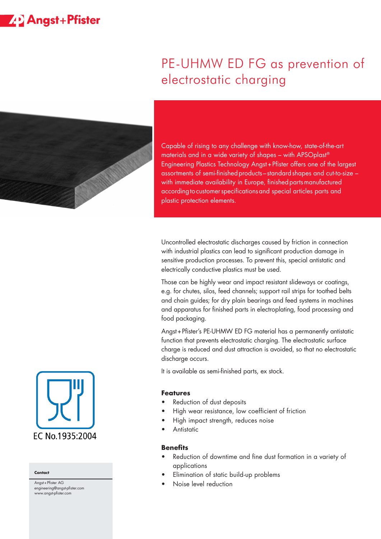# **ZP** Angst+Pfister



# PE-UHMW ED FG as prevention of electrostatic charging

Capable of rising to any challenge with know-how, state-of-the-art materials and in a wide variety of shapes – with APSOplast® Engineering Plastics Technology Angst+Pfister offers one of the largest assortments of semi-finished products-standard shapes and cut-to-size with immediate availability in Europe, finished parts manufactured according to customer specifications and special articles parts and plastic protection elements.

Uncontrolled electrostatic discharges caused by friction in connection with industrial plastics can lead to significant production damage in sensitive production processes. To prevent this, special antistatic and electrically conductive plastics must be used.

Those can be highly wear and impact resistant slideways or coatings, e.g. for chutes, silos, feed channels; support rail strips for toothed belts and chain guides; for dry plain bearings and feed systems in machines and apparatus for finished parts in electroplating, food processing and food packaging.

Angst+Pfister's PE-UHMW ED FG material has a permanently antistatic function that prevents electrostatic charging. The electrostatic surface charge is reduced and dust attraction is avoided, so that no electrostatic discharge occurs.

It is available as semi-finished parts, ex stock.

### **Features**

- Reduction of dust deposits
- High wear resistance, low coefficient of friction
- High impact strength, reduces noise
- Antistatic

### **Benefits**

- Reduction of downtime and fine dust formation in a variety of applications
- Elimination of static build-up problems
- Noise level reduction



#### **Contact**

Angst+Pfister AG engineering@angst-pfister.com www.angst-pfister.com